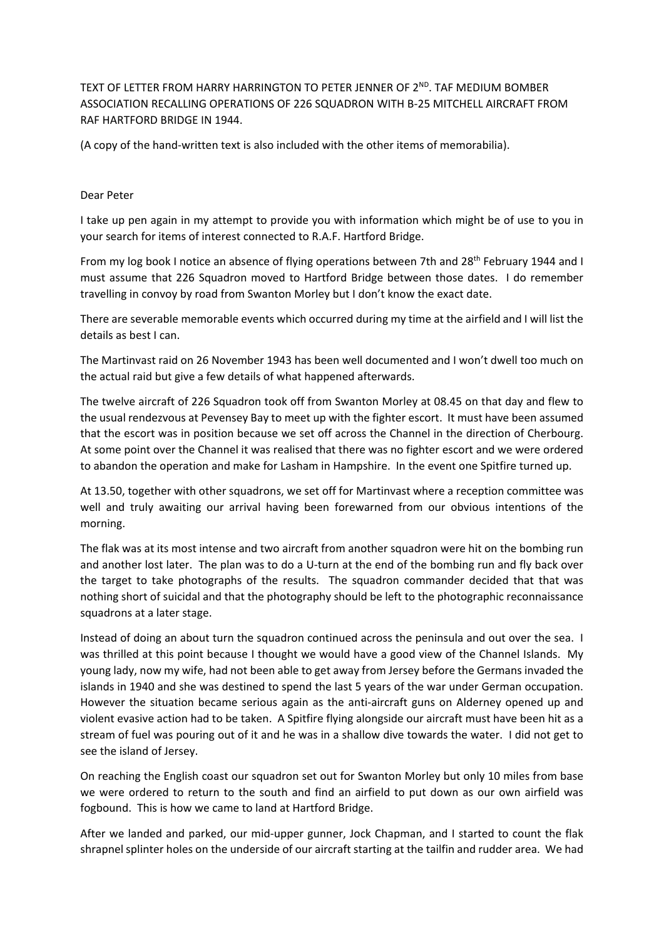TEXT OF LETTER FROM HARRY HARRINGTON TO PETER JENNER OF 2<sup>ND</sup>. TAF MEDIUM BOMBER ASSOCIATION RECALLING OPERATIONS OF 226 SQUADRON WITH B-25 MITCHELL AIRCRAFT FROM RAF HARTFORD BRIDGE IN 1944.

(A copy of the hand-written text is also included with the other items of memorabilia).

## Dear Peter

I take up pen again in my attempt to provide you with information which might be of use to you in your search for items of interest connected to R.A.F. Hartford Bridge.

From my log book I notice an absence of flying operations between 7th and 28<sup>th</sup> February 1944 and I must assume that 226 Squadron moved to Hartford Bridge between those dates. I do remember travelling in convoy by road from Swanton Morley but I don't know the exact date.

There are severable memorable events which occurred during my time at the airfield and I will list the details as best I can.

The Martinvast raid on 26 November 1943 has been well documented and I won't dwell too much on the actual raid but give a few details of what happened afterwards.

The twelve aircraft of 226 Squadron took off from Swanton Morley at 08.45 on that day and flew to the usual rendezvous at Pevensey Bay to meet up with the fighter escort. It must have been assumed that the escort was in position because we set off across the Channel in the direction of Cherbourg. At some point over the Channel it was realised that there was no fighter escort and we were ordered to abandon the operation and make for Lasham in Hampshire. In the event one Spitfire turned up.

At 13.50, together with other squadrons, we set off for Martinvast where a reception committee was well and truly awaiting our arrival having been forewarned from our obvious intentions of the morning.

The flak was at its most intense and two aircraft from another squadron were hit on the bombing run and another lost later. The plan was to do a U-turn at the end of the bombing run and fly back over the target to take photographs of the results. The squadron commander decided that that was nothing short of suicidal and that the photography should be left to the photographic reconnaissance squadrons at a later stage.

Instead of doing an about turn the squadron continued across the peninsula and out over the sea. I was thrilled at this point because I thought we would have a good view of the Channel Islands. My young lady, now my wife, had not been able to get away from Jersey before the Germans invaded the islands in 1940 and she was destined to spend the last 5 years of the war under German occupation. However the situation became serious again as the anti-aircraft guns on Alderney opened up and violent evasive action had to be taken. A Spitfire flying alongside our aircraft must have been hit as a stream of fuel was pouring out of it and he was in a shallow dive towards the water. I did not get to see the island of Jersey.

On reaching the English coast our squadron set out for Swanton Morley but only 10 miles from base we were ordered to return to the south and find an airfield to put down as our own airfield was fogbound. This is how we came to land at Hartford Bridge.

After we landed and parked, our mid-upper gunner, Jock Chapman, and I started to count the flak shrapnel splinter holes on the underside of our aircraft starting at the tailfin and rudder area. We had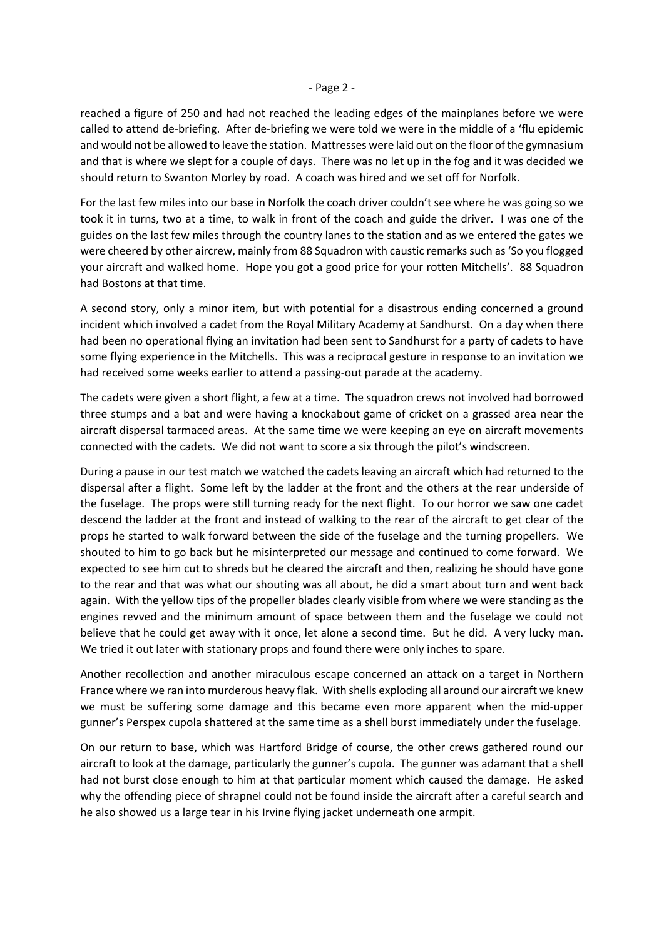## - Page 2 -

reached a figure of 250 and had not reached the leading edges of the mainplanes before we were called to attend de-briefing. After de-briefing we were told we were in the middle of a 'flu epidemic and would not be allowed to leave the station. Mattresses were laid out on the floor of the gymnasium and that is where we slept for a couple of days. There was no let up in the fog and it was decided we should return to Swanton Morley by road. A coach was hired and we set off for Norfolk.

For the last few miles into our base in Norfolk the coach driver couldn't see where he was going so we took it in turns, two at a time, to walk in front of the coach and guide the driver. I was one of the guides on the last few miles through the country lanes to the station and as we entered the gates we were cheered by other aircrew, mainly from 88 Squadron with caustic remarks such as 'So you flogged your aircraft and walked home. Hope you got a good price for your rotten Mitchells'. 88 Squadron had Bostons at that time.

A second story, only a minor item, but with potential for a disastrous ending concerned a ground incident which involved a cadet from the Royal Military Academy at Sandhurst. On a day when there had been no operational flying an invitation had been sent to Sandhurst for a party of cadets to have some flying experience in the Mitchells. This was a reciprocal gesture in response to an invitation we had received some weeks earlier to attend a passing-out parade at the academy.

The cadets were given a short flight, a few at a time. The squadron crews not involved had borrowed three stumps and a bat and were having a knockabout game of cricket on a grassed area near the aircraft dispersal tarmaced areas. At the same time we were keeping an eye on aircraft movements connected with the cadets. We did not want to score a six through the pilot's windscreen.

During a pause in our test match we watched the cadets leaving an aircraft which had returned to the dispersal after a flight. Some left by the ladder at the front and the others at the rear underside of the fuselage. The props were still turning ready for the next flight. To our horror we saw one cadet descend the ladder at the front and instead of walking to the rear of the aircraft to get clear of the props he started to walk forward between the side of the fuselage and the turning propellers. We shouted to him to go back but he misinterpreted our message and continued to come forward. We expected to see him cut to shreds but he cleared the aircraft and then, realizing he should have gone to the rear and that was what our shouting was all about, he did a smart about turn and went back again. With the yellow tips of the propeller blades clearly visible from where we were standing as the engines revved and the minimum amount of space between them and the fuselage we could not believe that he could get away with it once, let alone a second time. But he did. A very lucky man. We tried it out later with stationary props and found there were only inches to spare.

Another recollection and another miraculous escape concerned an attack on a target in Northern France where we ran into murderous heavy flak. With shells exploding all around our aircraft we knew we must be suffering some damage and this became even more apparent when the mid-upper gunner's Perspex cupola shattered at the same time as a shell burst immediately under the fuselage.

On our return to base, which was Hartford Bridge of course, the other crews gathered round our aircraft to look at the damage, particularly the gunner's cupola. The gunner was adamant that a shell had not burst close enough to him at that particular moment which caused the damage. He asked why the offending piece of shrapnel could not be found inside the aircraft after a careful search and he also showed us a large tear in his Irvine flying jacket underneath one armpit.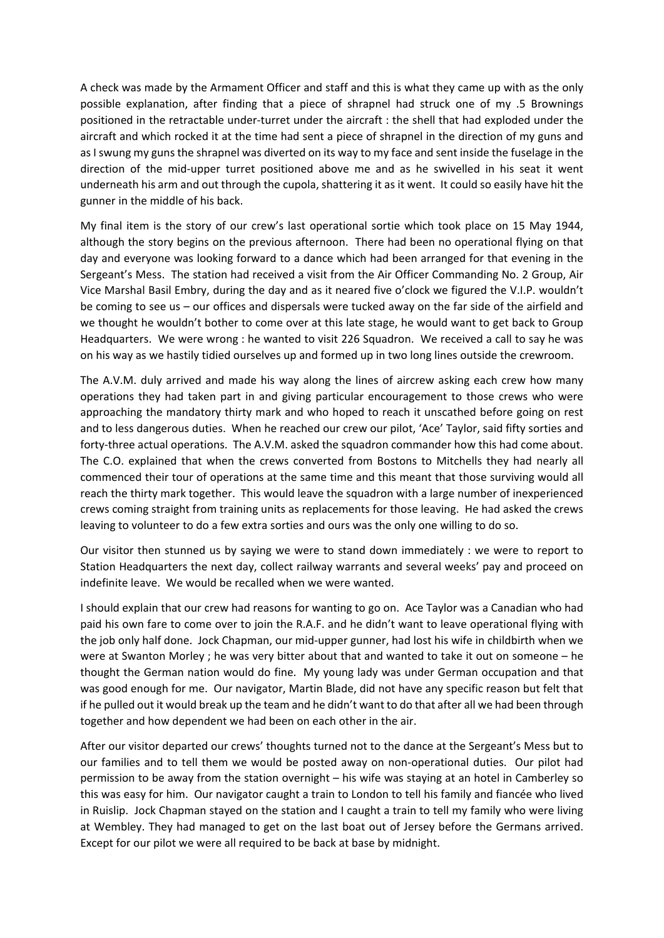A check was made by the Armament Officer and staff and this is what they came up with as the only possible explanation, after finding that a piece of shrapnel had struck one of my .5 Brownings positioned in the retractable under-turret under the aircraft : the shell that had exploded under the aircraft and which rocked it at the time had sent a piece of shrapnel in the direction of my guns and as I swung my guns the shrapnel was diverted on its way to my face and sent inside the fuselage in the direction of the mid-upper turret positioned above me and as he swivelled in his seat it went underneath his arm and out through the cupola, shattering it as it went. It could so easily have hit the gunner in the middle of his back.

My final item is the story of our crew's last operational sortie which took place on 15 May 1944, although the story begins on the previous afternoon. There had been no operational flying on that day and everyone was looking forward to a dance which had been arranged for that evening in the Sergeant's Mess. The station had received a visit from the Air Officer Commanding No. 2 Group, Air Vice Marshal Basil Embry, during the day and as it neared five o'clock we figured the V.I.P. wouldn't be coming to see us – our offices and dispersals were tucked away on the far side of the airfield and we thought he wouldn't bother to come over at this late stage, he would want to get back to Group Headquarters. We were wrong : he wanted to visit 226 Squadron. We received a call to say he was on his way as we hastily tidied ourselves up and formed up in two long lines outside the crewroom.

The A.V.M. duly arrived and made his way along the lines of aircrew asking each crew how many operations they had taken part in and giving particular encouragement to those crews who were approaching the mandatory thirty mark and who hoped to reach it unscathed before going on rest and to less dangerous duties. When he reached our crew our pilot, 'Ace' Taylor, said fifty sorties and forty-three actual operations. The A.V.M. asked the squadron commander how this had come about. The C.O. explained that when the crews converted from Bostons to Mitchells they had nearly all commenced their tour of operations at the same time and this meant that those surviving would all reach the thirty mark together. This would leave the squadron with a large number of inexperienced crews coming straight from training units as replacements for those leaving. He had asked the crews leaving to volunteer to do a few extra sorties and ours was the only one willing to do so.

Our visitor then stunned us by saying we were to stand down immediately : we were to report to Station Headquarters the next day, collect railway warrants and several weeks' pay and proceed on indefinite leave. We would be recalled when we were wanted.

I should explain that our crew had reasons for wanting to go on. Ace Taylor was a Canadian who had paid his own fare to come over to join the R.A.F. and he didn't want to leave operational flying with the job only half done. Jock Chapman, our mid-upper gunner, had lost his wife in childbirth when we were at Swanton Morley ; he was very bitter about that and wanted to take it out on someone – he thought the German nation would do fine. My young lady was under German occupation and that was good enough for me. Our navigator, Martin Blade, did not have any specific reason but felt that if he pulled out it would break up the team and he didn't want to do that after all we had been through together and how dependent we had been on each other in the air.

After our visitor departed our crews' thoughts turned not to the dance at the Sergeant's Mess but to our families and to tell them we would be posted away on non-operational duties. Our pilot had permission to be away from the station overnight – his wife was staying at an hotel in Camberley so this was easy for him. Our navigator caught a train to London to tell his family and fiancée who lived in Ruislip. Jock Chapman stayed on the station and I caught a train to tell my family who were living at Wembley. They had managed to get on the last boat out of Jersey before the Germans arrived. Except for our pilot we were all required to be back at base by midnight.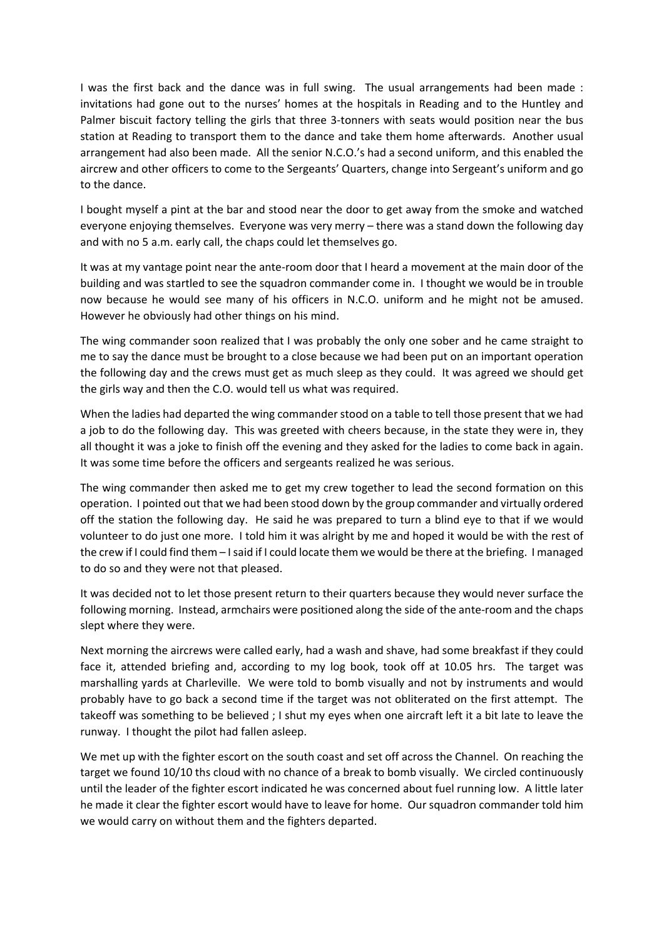I was the first back and the dance was in full swing. The usual arrangements had been made : invitations had gone out to the nurses' homes at the hospitals in Reading and to the Huntley and Palmer biscuit factory telling the girls that three 3-tonners with seats would position near the bus station at Reading to transport them to the dance and take them home afterwards. Another usual arrangement had also been made. All the senior N.C.O.'s had a second uniform, and this enabled the aircrew and other officers to come to the Sergeants' Quarters, change into Sergeant's uniform and go to the dance.

I bought myself a pint at the bar and stood near the door to get away from the smoke and watched everyone enjoying themselves. Everyone was very merry – there was a stand down the following day and with no 5 a.m. early call, the chaps could let themselves go.

It was at my vantage point near the ante-room door that I heard a movement at the main door of the building and was startled to see the squadron commander come in. I thought we would be in trouble now because he would see many of his officers in N.C.O. uniform and he might not be amused. However he obviously had other things on his mind.

The wing commander soon realized that I was probably the only one sober and he came straight to me to say the dance must be brought to a close because we had been put on an important operation the following day and the crews must get as much sleep as they could. It was agreed we should get the girls way and then the C.O. would tell us what was required.

When the ladies had departed the wing commander stood on a table to tell those present that we had a job to do the following day. This was greeted with cheers because, in the state they were in, they all thought it was a joke to finish off the evening and they asked for the ladies to come back in again. It was some time before the officers and sergeants realized he was serious.

The wing commander then asked me to get my crew together to lead the second formation on this operation. I pointed out that we had been stood down by the group commander and virtually ordered off the station the following day. He said he was prepared to turn a blind eye to that if we would volunteer to do just one more. I told him it was alright by me and hoped it would be with the rest of the crew if I could find them – I said if I could locate them we would be there at the briefing. I managed to do so and they were not that pleased.

It was decided not to let those present return to their quarters because they would never surface the following morning. Instead, armchairs were positioned along the side of the ante-room and the chaps slept where they were.

Next morning the aircrews were called early, had a wash and shave, had some breakfast if they could face it, attended briefing and, according to my log book, took off at 10.05 hrs. The target was marshalling yards at Charleville. We were told to bomb visually and not by instruments and would probably have to go back a second time if the target was not obliterated on the first attempt. The takeoff was something to be believed ; I shut my eyes when one aircraft left it a bit late to leave the runway. I thought the pilot had fallen asleep.

We met up with the fighter escort on the south coast and set off across the Channel. On reaching the target we found 10/10 ths cloud with no chance of a break to bomb visually. We circled continuously until the leader of the fighter escort indicated he was concerned about fuel running low. A little later he made it clear the fighter escort would have to leave for home. Our squadron commander told him we would carry on without them and the fighters departed.